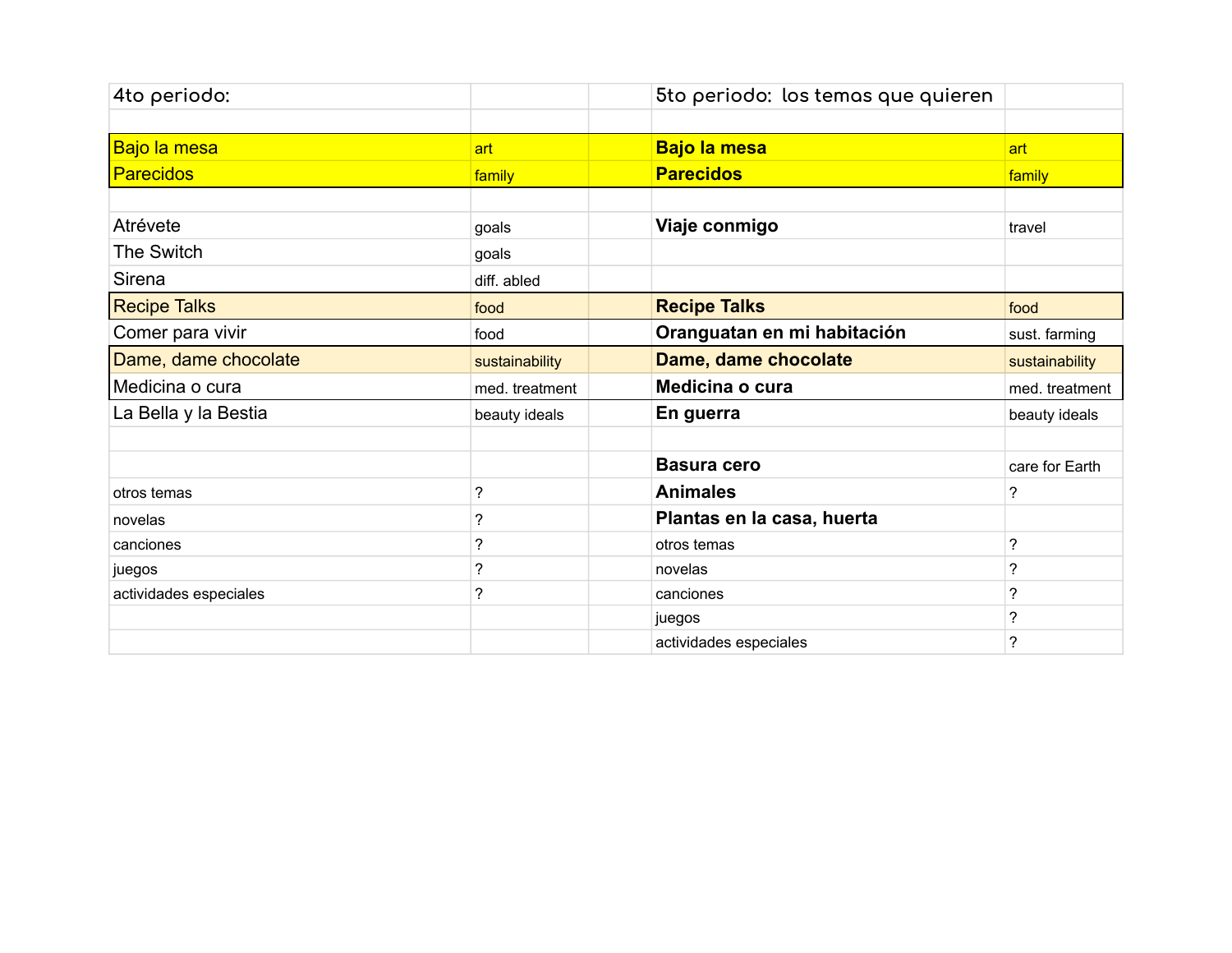| 4to periodo:           |                | 5to periodo: los temas que quieren |                          |
|------------------------|----------------|------------------------------------|--------------------------|
|                        |                |                                    |                          |
| Bajo la mesa           | art            | <b>Bajo la mesa</b>                | art                      |
| <b>Parecidos</b>       | family         | <b>Parecidos</b>                   | family                   |
|                        |                |                                    |                          |
| Atrévete               | goals          | Viaje conmigo                      | travel                   |
| The Switch             | goals          |                                    |                          |
| Sirena                 | diff. abled    |                                    |                          |
| <b>Recipe Talks</b>    | food           | <b>Recipe Talks</b>                | food                     |
| Comer para vivir       | food           | Oranguatan en mi habitación        | sust. farming            |
| Dame, dame chocolate   | sustainability | Dame, dame chocolate               | sustainability           |
| Medicina o cura        | med. treatment | Medicina o cura                    | med. treatment           |
| La Bella y la Bestia   | beauty ideals  | En guerra                          | beauty ideals            |
|                        |                |                                    |                          |
|                        |                | <b>Basura cero</b>                 | care for Earth           |
| otros temas            | ?              | <b>Animales</b>                    | ?                        |
| novelas                | ?              | Plantas en la casa, huerta         |                          |
| canciones              | ?              | otros temas                        | $\overline{\phantom{a}}$ |
| juegos                 | ?              | novelas                            | ?                        |
| actividades especiales | ?              | canciones                          | ?                        |
|                        |                | juegos                             | ?                        |
|                        |                | actividades especiales             | $\overline{\phantom{a}}$ |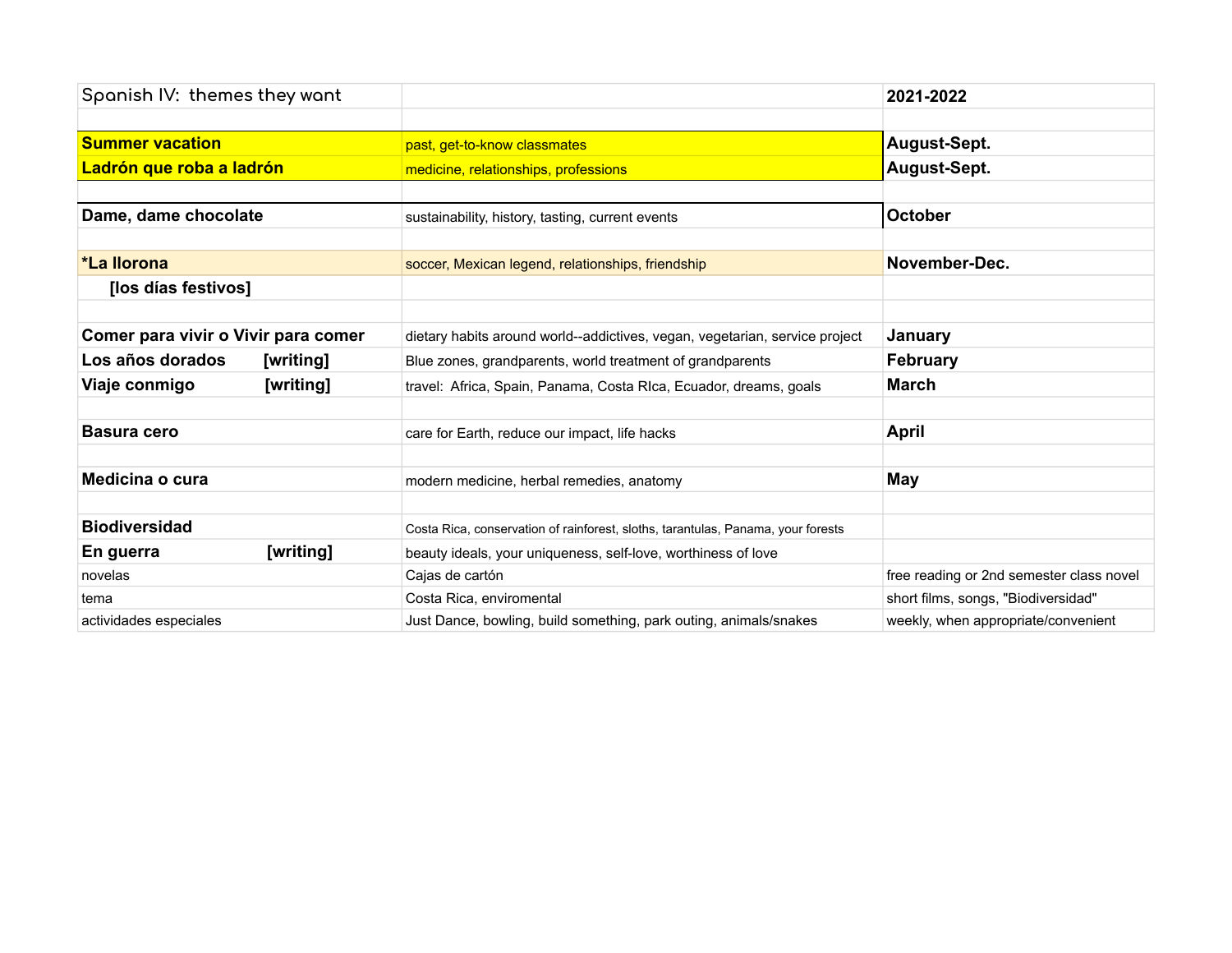| Spanish IV: themes they want        |           |                                                                                  | 2021-2022                                |
|-------------------------------------|-----------|----------------------------------------------------------------------------------|------------------------------------------|
|                                     |           |                                                                                  |                                          |
| <b>Summer vacation</b>              |           | past, get-to-know classmates                                                     | August-Sept.                             |
| Ladrón que roba a ladrón            |           | medicine, relationships, professions                                             | August-Sept.                             |
|                                     |           |                                                                                  |                                          |
| Dame, dame chocolate                |           | sustainability, history, tasting, current events                                 | <b>October</b>                           |
|                                     |           |                                                                                  |                                          |
| *La llorona                         |           | soccer, Mexican legend, relationships, friendship                                | November-Dec.                            |
| [los días festivos]                 |           |                                                                                  |                                          |
|                                     |           |                                                                                  |                                          |
| Comer para vivir o Vivir para comer |           | dietary habits around world--addictives, vegan, vegetarian, service project      | January                                  |
| Los años dorados                    | [writing] | Blue zones, grandparents, world treatment of grandparents                        | <b>February</b>                          |
| Viaje conmigo                       | [writing] | travel: Africa, Spain, Panama, Costa RIca, Ecuador, dreams, goals                | <b>March</b>                             |
|                                     |           |                                                                                  |                                          |
| <b>Basura cero</b>                  |           | care for Earth, reduce our impact, life hacks                                    | April                                    |
|                                     |           |                                                                                  |                                          |
| Medicina o cura                     |           | modern medicine, herbal remedies, anatomy                                        | May                                      |
|                                     |           |                                                                                  |                                          |
| <b>Biodiversidad</b>                |           | Costa Rica, conservation of rainforest, sloths, tarantulas, Panama, your forests |                                          |
| En guerra                           | [writing] | beauty ideals, your uniqueness, self-love, worthiness of love                    |                                          |
| novelas                             |           | Cajas de cartón                                                                  | free reading or 2nd semester class novel |
| tema                                |           | Costa Rica, enviromental                                                         | short films, songs, "Biodiversidad"      |
| actividades especiales              |           | Just Dance, bowling, build something, park outing, animals/snakes                | weekly, when appropriate/convenient      |